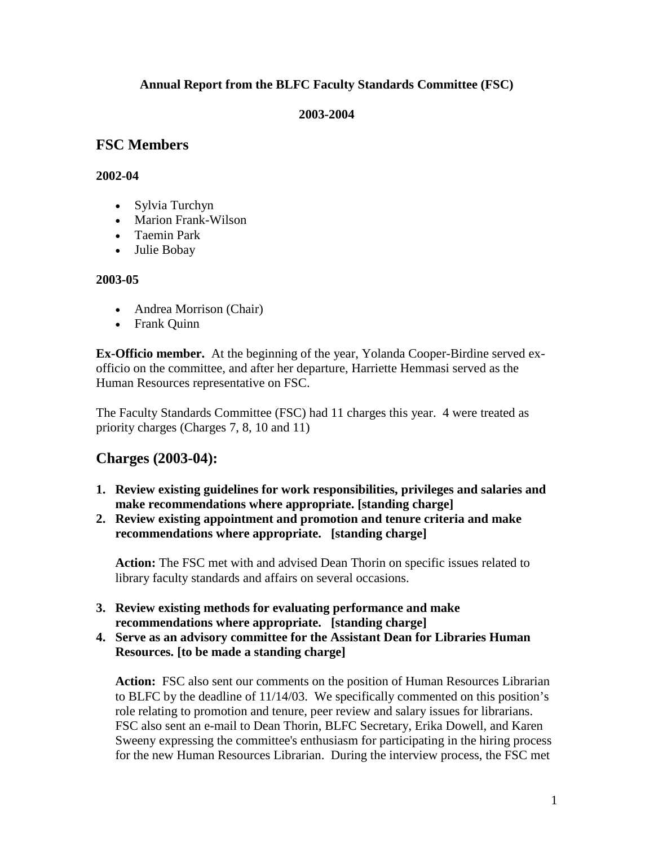# **Annual Report from the BLFC Faculty Standards Committee (FSC)**

#### **2003-2004**

# **FSC Members**

## **2002-04**

- Sylvia Turchyn
- Marion Frank-Wilson
- Taemin Park
- Julie Bobay

## **2003-05**

- Andrea Morrison (Chair)
- Frank Quinn

**Ex-Officio member.** At the beginning of the year, Yolanda Cooper-Birdine served exofficio on the committee, and after her departure, Harriette Hemmasi served as the Human Resources representative on FSC.

The Faculty Standards Committee (FSC) had 11 charges this year. 4 were treated as priority charges (Charges 7, 8, 10 and 11)

# **Charges (2003-04):**

- **1. Review existing guidelines for work responsibilities, privileges and salaries and make recommendations where appropriate. [standing charge]**
- **2. Review existing appointment and promotion and tenure criteria and make recommendations where appropriate. [standing charge]**

**Action:** The FSC met with and advised Dean Thorin on specific issues related to library faculty standards and affairs on several occasions.

- **3. Review existing methods for evaluating performance and make recommendations where appropriate. [standing charge]**
- **4. Serve as an advisory committee for the Assistant Dean for Libraries Human Resources. [to be made a standing charge]**

Action: FSC also sent our comments on the position of Human Resources Librarian to BLFC by the deadline of 11/14/03. We specifically commented on this position's role relating to promotion and tenure, peer review and salary issues for librarians. FSC also sent an e-mail to Dean Thorin, BLFC Secretary, Erika Dowell, and Karen Sweeny expressing the committee's enthusiasm for participating in the hiring process for the new Human Resources Librarian. During the interview process, the FSC met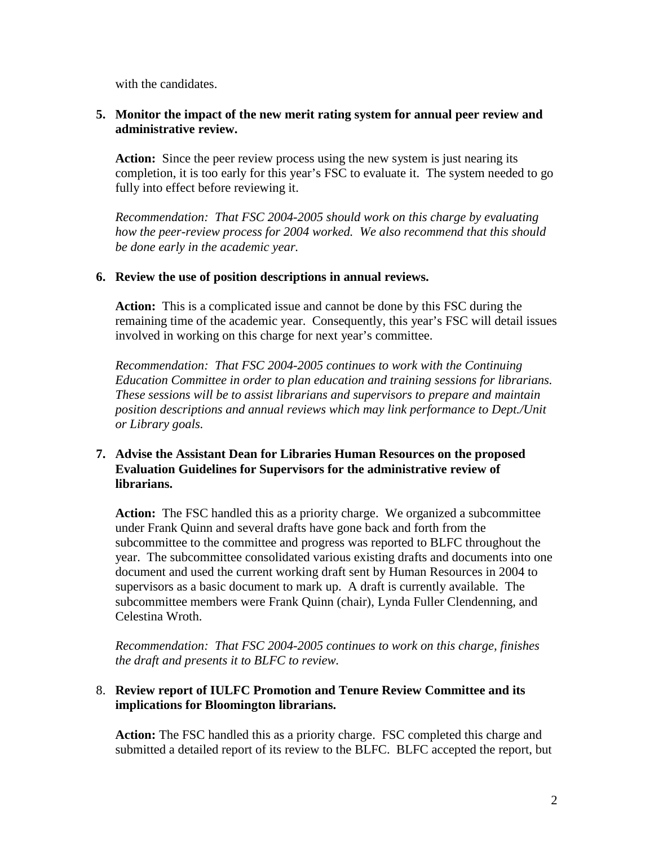with the candidates.

## **5. Monitor the impact of the new merit rating system for annual peer review and administrative review.**

Action: Since the peer review process using the new system is just nearing its completion, it is too early for this year's FSC to evaluate it. The system needed to go fully into effect before reviewing it.

*Recommendation: That FSC 2004-2005 should work on this charge by evaluating how the peer-review process for 2004 worked. We also recommend that this should be done early in the academic year.* 

### **6. Review the use of position descriptions in annual reviews.**

**Action:** This is a complicated issue and cannot be done by this FSC during the remaining time of the academic year. Consequently, this year's FSC will detail issues involved in working on this charge for next year's committee.

*Recommendation: That FSC 2004-2005 continues to work with the Continuing Education Committee in order to plan education and training sessions for librarians. These sessions will be to assist librarians and supervisors to prepare and maintain position descriptions and annual reviews which may link performance to Dept./Unit or Library goals.*

## **7. Advise the Assistant Dean for Libraries Human Resources on the proposed Evaluation Guidelines for Supervisors for the administrative review of librarians.**

**Action:** The FSC handled this as a priority charge. We organized a subcommittee under Frank Quinn and several drafts have gone back and forth from the subcommittee to the committee and progress was reported to BLFC throughout the year. The subcommittee consolidated various existing drafts and documents into one document and used the current working draft sent by Human Resources in 2004 to supervisors as a basic document to mark up. A draft is currently available. The subcommittee members were Frank Quinn (chair), Lynda Fuller Clendenning, and Celestina Wroth.

*Recommendation: That FSC 2004-2005 continues to work on this charge, finishes the draft and presents it to BLFC to review.*

## 8. **Review report of IULFC Promotion and Tenure Review Committee and its implications for Bloomington librarians.**

**Action:** The FSC handled this as a priority charge. FSC completed this charge and submitted a detailed report of its review to the BLFC. BLFC accepted the report, but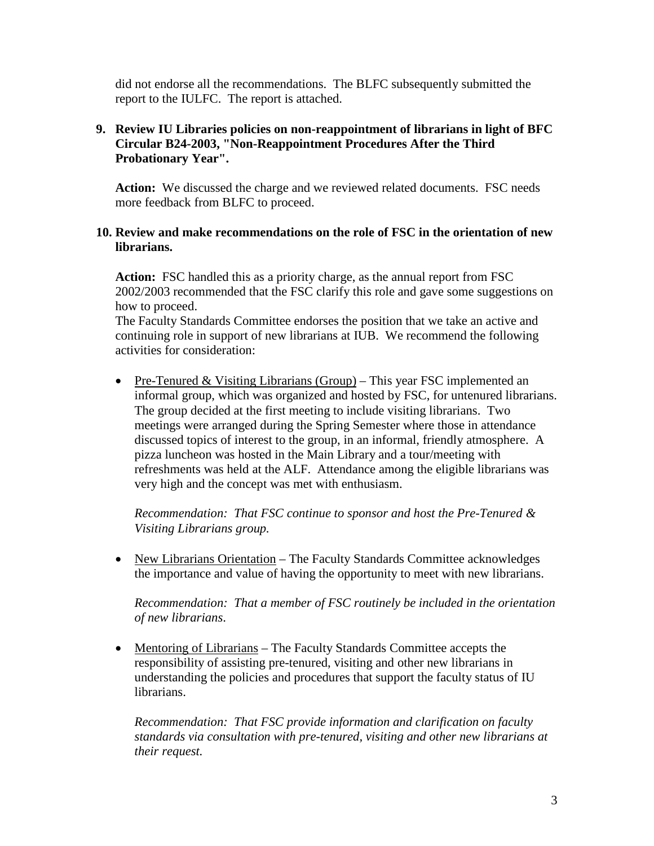did not endorse all the recommendations. The BLFC subsequently submitted the report to the IULFC. The report is attached.

## **9. Review IU Libraries policies on non-reappointment of librarians in light of BFC Circular B24-2003, "Non-Reappointment Procedures After the Third Probationary Year".**

**Action:** We discussed the charge and we reviewed related documents. FSC needs more feedback from BLFC to proceed.

#### **10. Review and make recommendations on the role of FSC in the orientation of new librarians.**

**Action:** FSC handled this as a priority charge, as the annual report from FSC 2002/2003 recommended that the FSC clarify this role and gave some suggestions on how to proceed.

The Faculty Standards Committee endorses the position that we take an active and continuing role in support of new librarians at IUB. We recommend the following activities for consideration:

• Pre-Tenured & Visiting Librarians (Group) – This year FSC implemented an informal group, which was organized and hosted by FSC, for untenured librarians. The group decided at the first meeting to include visiting librarians. Two meetings were arranged during the Spring Semester where those in attendance discussed topics of interest to the group, in an informal, friendly atmosphere. A pizza luncheon was hosted in the Main Library and a tour/meeting with refreshments was held at the ALF. Attendance among the eligible librarians was very high and the concept was met with enthusiasm.

*Recommendation: That FSC continue to sponsor and host the Pre-Tenured & Visiting Librarians group.*

• New Librarians Orientation – The Faculty Standards Committee acknowledges the importance and value of having the opportunity to meet with new librarians.

*Recommendation: That a member of FSC routinely be included in the orientation of new librarians*.

• Mentoring of Librarians – The Faculty Standards Committee accepts the responsibility of assisting pre-tenured, visiting and other new librarians in understanding the policies and procedures that support the faculty status of IU librarians.

*Recommendation: That FSC provide information and clarification on faculty standards via consultation with pre-tenured, visiting and other new librarians at their request.*